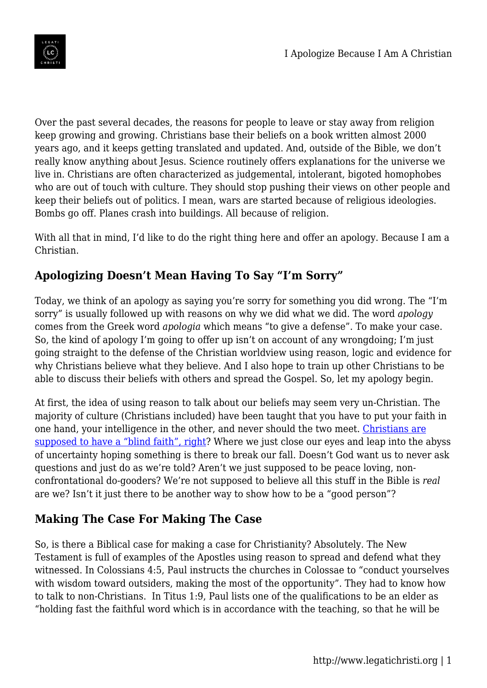

Over the past several decades, the reasons for people to leave or stay away from religion keep growing and growing. Christians base their beliefs on a book written almost 2000 years ago, and it keeps getting translated and updated. And, outside of the Bible, we don't really know anything about Jesus. Science routinely offers explanations for the universe we live in. Christians are often characterized as judgemental, intolerant, bigoted homophobes who are out of touch with culture. They should stop pushing their views on other people and keep their beliefs out of politics. I mean, wars are started because of religious ideologies. Bombs go off. Planes crash into buildings. All because of religion.

With all that in mind, I'd like to do the right thing here and offer an apology. Because I am a Christian.

## **Apologizing Doesn't Mean Having To Say "I'm Sorry"**

Today, we think of an apology as saying you're sorry for something you did wrong. The "I'm sorry" is usually followed up with reasons on why we did what we did. The word *apology* comes from the Greek word *apologia* which means "to give a defense". To make your case. So, the kind of apology I'm going to offer up isn't on account of any wrongdoing; I'm just going straight to the defense of the Christian worldview using reason, logic and evidence for why Christians believe what they believe. And I also hope to train up other Christians to be able to discuss their beliefs with others and spread the Gospel. So, let my apology begin.

At first, the idea of using reason to talk about our beliefs may seem very un-Christian. The majority of culture (Christians included) have been taught that you have to put your faith in one hand, your intelligence in the other, and never should the two meet. [Christians are](https://www.legatichristi.org/blind-faith/) [supposed to have a "blind faith", right](https://www.legatichristi.org/blind-faith/)? Where we just close our eyes and leap into the abyss of uncertainty hoping something is there to break our fall. Doesn't God want us to never ask questions and just do as we're told? Aren't we just supposed to be peace loving, nonconfrontational do-gooders? We're not supposed to believe all this stuff in the Bible is *real* are we? Isn't it just there to be another way to show how to be a "good person"?

## **Making The Case For Making The Case**

So, is there a Biblical case for making a case for Christianity? Absolutely. The New Testament is full of examples of the Apostles using reason to spread and defend what they witnessed. In Colossians 4:5, Paul instructs the churches in Colossae to "conduct yourselves with wisdom toward outsiders, making the most of the opportunity". They had to know how to talk to non-Christians. In Titus 1:9, Paul lists one of the qualifications to be an elder as "holding fast the faithful word which is in accordance with the teaching, so that he will be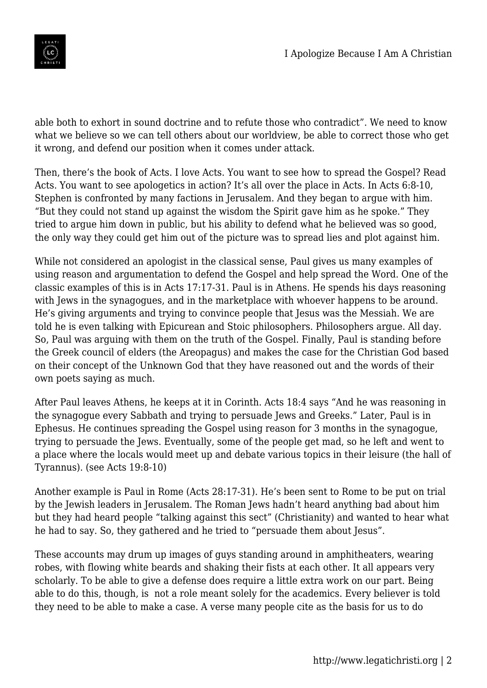

able both to exhort in sound doctrine and to refute those who contradict". We need to know what we believe so we can tell others about our worldview, be able to correct those who get it wrong, and defend our position when it comes under attack.

Then, there's the book of Acts. I love Acts. You want to see how to spread the Gospel? Read Acts. You want to see apologetics in action? It's all over the place in Acts. In Acts 6:8-10, Stephen is confronted by many factions in Jerusalem. And they began to argue with him. "But they could not stand up against the wisdom the Spirit gave him as he spoke." They tried to argue him down in public, but his ability to defend what he believed was so good, the only way they could get him out of the picture was to spread lies and plot against him.

While not considered an apologist in the classical sense, Paul gives us many examples of using reason and argumentation to defend the Gospel and help spread the Word. One of the classic examples of this is in Acts 17:17-31. Paul is in Athens. He spends his days reasoning with Jews in the synagogues, and in the marketplace with whoever happens to be around. He's giving arguments and trying to convince people that Jesus was the Messiah. We are told he is even talking with Epicurean and Stoic philosophers. Philosophers argue. All day. So, Paul was arguing with them on the truth of the Gospel. Finally, Paul is standing before the Greek council of elders (the Areopagus) and makes the case for the Christian God based on their concept of the Unknown God that they have reasoned out and the words of their own poets saying as much.

After Paul leaves Athens, he keeps at it in Corinth. Acts 18:4 says "And he was reasoning in the synagogue every Sabbath and trying to persuade Jews and Greeks." Later, Paul is in Ephesus. He continues spreading the Gospel using reason for 3 months in the synagogue, trying to persuade the Jews. Eventually, some of the people get mad, so he left and went to a place where the locals would meet up and debate various topics in their leisure (the hall of Tyrannus). (see Acts 19:8-10)

Another example is Paul in Rome (Acts 28:17-31). He's been sent to Rome to be put on trial by the Jewish leaders in Jerusalem. The Roman Jews hadn't heard anything bad about him but they had heard people "talking against this sect" (Christianity) and wanted to hear what he had to say. So, they gathered and he tried to "persuade them about Jesus".

These accounts may drum up images of guys standing around in amphitheaters, wearing robes, with flowing white beards and shaking their fists at each other. It all appears very scholarly. To be able to give a defense does require a little extra work on our part. Being able to do this, though, is not a role meant solely for the academics. Every believer is told they need to be able to make a case. A verse many people cite as the basis for us to do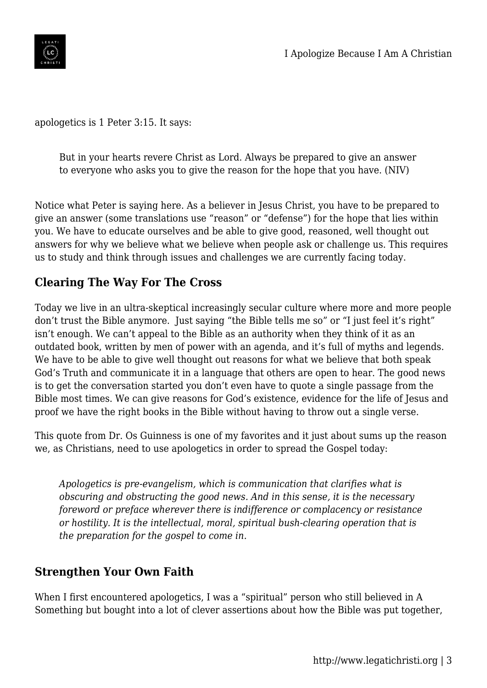

apologetics is 1 Peter 3:15. It says:

But in your hearts revere Christ as Lord. Always be prepared to give an answer to everyone who asks you to give the reason for the hope that you have. (NIV)

Notice what Peter is saying here. As a believer in Jesus Christ, you have to be prepared to give an answer (some translations use "reason" or "defense") for the hope that lies within you. We have to educate ourselves and be able to give good, reasoned, well thought out answers for why we believe what we believe when people ask or challenge us. This requires us to study and think through issues and challenges we are currently facing today.

## **Clearing The Way For The Cross**

Today we live in an ultra-skeptical increasingly secular culture where more and more people don't trust the Bible anymore. Just saying "the Bible tells me so" or "I just feel it's right" isn't enough. We can't appeal to the Bible as an authority when they think of it as an outdated book, written by men of power with an agenda, and it's full of myths and legends. We have to be able to give well thought out reasons for what we believe that both speak God's Truth and communicate it in a language that others are open to hear. The good news is to get the conversation started you don't even have to quote a single passage from the Bible most times. We can give reasons for God's existence, evidence for the life of Jesus and proof we have the right books in the Bible without having to throw out a single verse.

This quote from Dr. Os Guinness is one of my favorites and it just about sums up the reason we, as Christians, need to use apologetics in order to spread the Gospel today:

*Apologetics is pre-evangelism, which is communication that clarifies what is obscuring and obstructing the good news. And in this sense, it is the necessary foreword or preface wherever there is indifference or complacency or resistance or hostility. It is the intellectual, moral, spiritual bush-clearing operation that is the preparation for the gospel to come in.*

## **Strengthen Your Own Faith**

When I first encountered apologetics, I was a "spiritual" person who still believed in A Something but bought into a lot of clever assertions about how the Bible was put together,